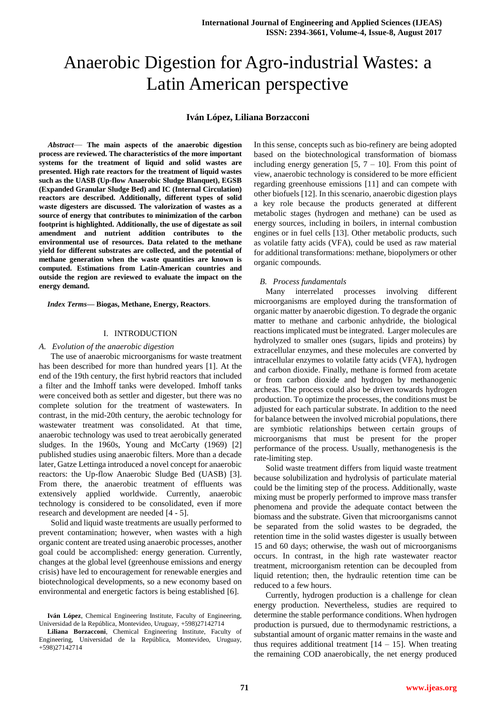# Anaerobic Digestion for Agro-industrial Wastes: a Latin American perspective

# **Iván López, Liliana Borzacconi**

*Abstract*— **The main aspects of the anaerobic digestion process are reviewed. The characteristics of the more important systems for the treatment of liquid and solid wastes are presented. High rate reactors for the treatment of liquid wastes such as the UASB (Up-flow Anaerobic Sludge Blanquet), EGSB (Expanded Granular Sludge Bed) and IC (Internal Circulation) reactors are described. Additionally, different types of solid waste digesters are discussed. The valorization of wastes as a source of energy that contributes to minimization of the carbon footprint is highlighted. Additionally, the use of digestate as soil amendment and nutrient addition contributes to the environmental use of resources. Data related to the methane yield for different substrates are collected, and the potential of methane generation when the waste quantities are known is computed. Estimations from Latin-American countries and outside the region are reviewed to evaluate the impact on the energy demand.**

*Index Terms***— Biogas, Methane, Energy, Reactors**.

#### I. INTRODUCTION

# *A. Evolution of the anaerobic digestion*

The use of anaerobic microorganisms for waste treatment has been described for more than hundred years [1]. At the end of the 19th century, the first hybrid reactors that included a filter and the Imhoff tanks were developed. Imhoff tanks were conceived both as settler and digester, but there was no complete solution for the treatment of wastewaters. In contrast, in the mid-20th century, the aerobic technology for wastewater treatment was consolidated. At that time, anaerobic technology was used to treat aerobically generated sludges. In the 1960s, Young and McCarty (1969) [2] published studies using anaerobic filters. More than a decade later, Gatze Lettinga introduced a novel concept for anaerobic reactors: the Up-flow Anaerobic Sludge Bed (UASB) [3]. From there, the anaerobic treatment of effluents was extensively applied worldwide. Currently, anaerobic technology is considered to be consolidated, even if more research and development are needed [4 - 5].

Solid and liquid waste treatments are usually performed to prevent contamination; however, when wastes with a high organic content are treated using anaerobic processes, another goal could be accomplished: energy generation. Currently, changes at the global level (greenhouse emissions and energy crisis) have led to encouragement for renewable energies and biotechnological developments, so a new economy based on environmental and energetic factors is being established [6].

In this sense, concepts such as bio-refinery are being adopted based on the biotechnological transformation of biomass including energy generation  $[5, 7 - 10]$ . From this point of view, anaerobic technology is considered to be more efficient regarding greenhouse emissions [11] and can compete with other biofuels [12]. In this scenario, anaerobic digestion plays a key role because the products generated at different metabolic stages (hydrogen and methane) can be used as energy sources, including in boilers, in internal combustion engines or in fuel cells [13]. Other metabolic products, such as volatile fatty acids (VFA), could be used as raw material for additional transformations: methane, biopolymers or other organic compounds.

#### *B. Process fundamentals*

Many interrelated processes involving different microorganisms are employed during the transformation of organic matter by anaerobic digestion. To degrade the organic matter to methane and carbonic anhydride, the biological reactions implicated must be integrated. Larger molecules are hydrolyzed to smaller ones (sugars, lipids and proteins) by extracellular enzymes, and these molecules are converted by intracellular enzymes to volatile fatty acids (VFA), hydrogen and carbon dioxide. Finally, methane is formed from acetate or from carbon dioxide and hydrogen by methanogenic archeas. The process could also be driven towards hydrogen production. To optimize the processes, the conditions must be adjusted for each particular substrate. In addition to the need for balance between the involved microbial populations, there are symbiotic relationships between certain groups of microorganisms that must be present for the proper performance of the process. Usually, methanogenesis is the rate-limiting step.

Solid waste treatment differs from liquid waste treatment because solubilization and hydrolysis of particulate material could be the limiting step of the process. Additionally, waste mixing must be properly performed to improve mass transfer phenomena and provide the adequate contact between the biomass and the substrate. Given that microorganisms cannot be separated from the solid wastes to be degraded, the retention time in the solid wastes digester is usually between 15 and 60 days; otherwise, the wash out of microorganisms occurs. In contrast, in the high rate wastewater reactor treatment, microorganism retention can be decoupled from liquid retention; then, the hydraulic retention time can be reduced to a few hours.

Currently, hydrogen production is a challenge for clean energy production. Nevertheless, studies are required to determine the stable performance conditions. When hydrogen production is pursued, due to thermodynamic restrictions, a substantial amount of organic matter remains in the waste and thus requires additional treatment  $[14 - 15]$ . When treating the remaining COD anaerobically, the net energy produced

**Iván López**, Chemical Engineering Institute, Faculty of Engineering, Universidad de la República, Montevideo, Uruguay, +598)27142714

**Liliana Borzacconi**, Chemical Engineering Institute, Faculty of Engineering, Universidad de la República, Montevideo, Uruguay, +598)27142714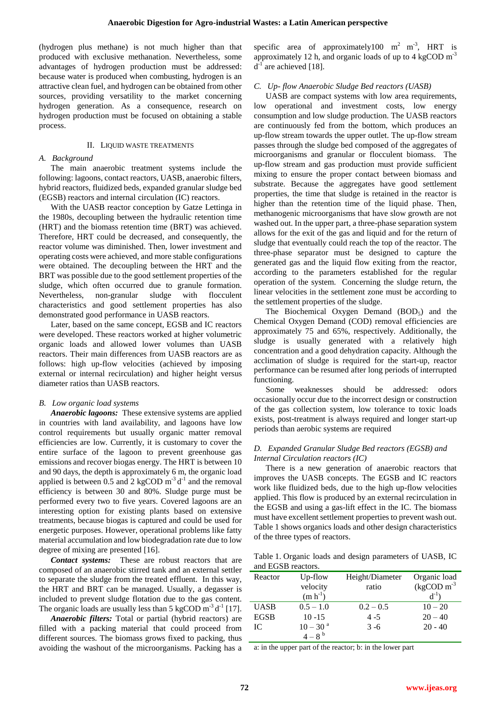(hydrogen plus methane) is not much higher than that produced with exclusive methanation. Nevertheless, some advantages of hydrogen production must be addressed: because water is produced when combusting, hydrogen is an attractive clean fuel, and hydrogen can be obtained from other sources, providing versatility to the market concerning hydrogen generation. As a consequence, research on hydrogen production must be focused on obtaining a stable process.

# II. LIQUID WASTE TREATMENTS

## *A. Background*

The main anaerobic treatment systems include the following: lagoons, contact reactors, UASB, anaerobic filters, hybrid reactors, fluidized beds, expanded granular sludge bed (EGSB) reactors and internal circulation (IC) reactors.

With the UASB reactor conception by Gatze Lettinga in the 1980s, decoupling between the hydraulic retention time (HRT) and the biomass retention time (BRT) was achieved. Therefore, HRT could be decreased, and consequently, the reactor volume was diminished. Then, lower investment and operating costs were achieved, and more stable configurations were obtained. The decoupling between the HRT and the BRT was possible due to the good settlement properties of the sludge, which often occurred due to granule formation. Nevertheless, non-granular sludge with flocculent characteristics and good settlement properties has also demonstrated good performance in UASB reactors.

Later, based on the same concept, EGSB and IC reactors were developed. These reactors worked at higher volumetric organic loads and allowed lower volumes than UASB reactors. Their main differences from UASB reactors are as follows: high up-flow velocities (achieved by imposing external or internal recirculation) and higher height versus diameter ratios than UASB reactors.

#### *B. Low organic load systems*

*Anaerobic lagoons:* These extensive systems are applied in countries with land availability, and lagoons have low control requirements but usually organic matter removal efficiencies are low. Currently, it is customary to cover the entire surface of the lagoon to prevent greenhouse gas emissions and recover biogas energy. The HRT is between 10 and 90 days, the depth is approximately 6 m, the organic load applied is between 0.5 and 2 kgCOD  $m<sup>-3</sup>d<sup>-1</sup>$  and the removal efficiency is between 30 and 80%. Sludge purge must be performed every two to five years. Covered lagoons are an interesting option for existing plants based on extensive treatments, because biogas is captured and could be used for energetic purposes. However, operational problems like fatty material accumulation and low biodegradation rate due to low degree of mixing are presented [16].

*Contact systems:*These are robust reactors that are composed of an anaerobic stirred tank and an external settler to separate the sludge from the treated effluent. In this way, the HRT and BRT can be managed. Usually, a degasser is included to prevent sludge flotation due to the gas content. The organic loads are usually less than 5 kgCOD  $\text{m}^3 \text{d}^1$  [17].

*Anaerobic filters:* Total or partial (hybrid reactors) are filled with a packing material that could proceed from different sources. The biomass grows fixed to packing, thus avoiding the washout of the microorganisms. Packing has a specific area of approximately 100  $m^2$  m<sup>-3</sup>, HRT is approximately 12 h, and organic loads of up to  $4 \text{ kgCOD m}^{-3}$  $d^{-1}$  are achieved [18].

## *C. Up- flow Anaerobic Sludge Bed reactors (UASB)*

UASB are compact systems with low area requirements, low operational and investment costs, low energy consumption and low sludge production. The UASB reactors are continuously fed from the bottom, which produces an up-flow stream towards the upper outlet. The up-flow stream passes through the sludge bed composed of the aggregates of microorganisms and granular or flocculent biomass. The up-flow stream and gas production must provide sufficient mixing to ensure the proper contact between biomass and substrate. Because the aggregates have good settlement properties, the time that sludge is retained in the reactor is higher than the retention time of the liquid phase. Then, methanogenic microorganisms that have slow growth are not washed out. In the upper part, a three-phase separation system allows for the exit of the gas and liquid and for the return of sludge that eventually could reach the top of the reactor. The three-phase separator must be designed to capture the generated gas and the liquid flow exiting from the reactor, according to the parameters established for the regular operation of the system. Concerning the sludge return, the linear velocities in the settlement zone must be according to the settlement properties of the sludge.

The Biochemical Oxygen Demand (BOD<sub>5</sub>) and the Chemical Oxygen Demand (COD) removal efficiencies are approximately 75 and 65%, respectively. Additionally, the sludge is usually generated with a relatively high concentration and a good dehydration capacity. Although the acclimation of sludge is required for the start-up, reactor performance can be resumed after long periods of interrupted functioning.

Some weaknesses should be addressed: odors occasionally occur due to the incorrect design or construction of the gas collection system, low tolerance to toxic loads exists, post-treatment is always required and longer start-up periods than aerobic systems are required

# *D. Expanded Granular Sludge Bed reactors (EGSB) and Internal Circulation reactors (IC)*

There is a new generation of anaerobic reactors that improves the UASB concepts. The EGSB and IC reactors work like fluidized beds, due to the high up-flow velocities applied. This flow is produced by an external recirculation in the EGSB and using a gas-lift effect in the IC. The biomass must have excellent settlement properties to prevent wash out. Table 1 shows organics loads and other design characteristics of the three types of reactors.

Table 1. Organic loads and design parameters of UASB, IC and EGSB reactors.

| Reactor     | Up-flow<br>velocity<br>$(m h^{-1})$ | Height/Diameter<br>ratio | Organic load<br>$(kgCOD m-3$<br>$d^{-1}$ ) |
|-------------|-------------------------------------|--------------------------|--------------------------------------------|
| <b>UASB</b> | $0.5 - 1.0$                         | $0.2 - 0.5$              | $10 - 20$                                  |
| <b>EGSB</b> | $10 - 15$                           | $4 - 5$                  | $20 - 40$                                  |
| IC          | $10 - 30$ <sup>a</sup>              | $3 - 6$                  | $20 - 40$                                  |
|             | $4 - 8^{b}$                         |                          |                                            |

a: in the upper part of the reactor; b: in the lower part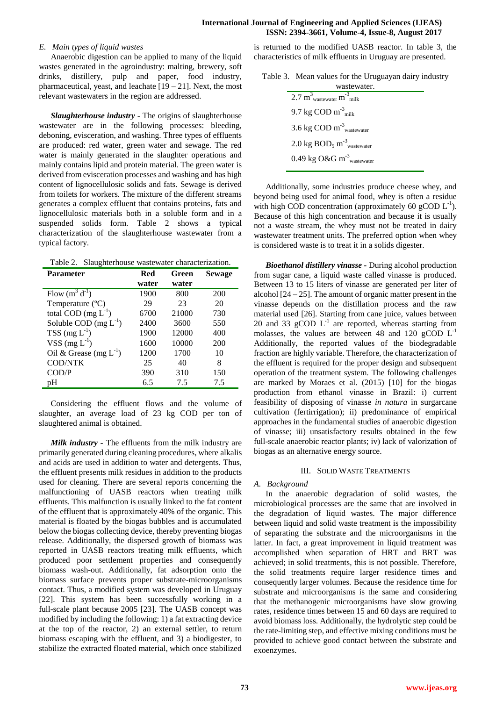# **International Journal of Engineering and Applied Sciences (IJEAS) ISSN: 2394-3661, Volume-4, Issue-8, August 2017**

# *E. Main types of liquid wastes*

Anaerobic digestion can be applied to many of the liquid wastes generated in the agroindustry: malting, brewery, soft drinks, distillery, pulp and paper, food industry, pharmaceutical, yeast, and leachate  $[19 - 21]$ . Next, the most relevant wastewaters in the region are addressed.

*Slaughterhouse industry -* The origins of slaughterhouse wastewater are in the following processes: bleeding, deboning, evisceration, and washing. Three types of effluents are produced: red water, green water and sewage. The red water is mainly generated in the slaughter operations and mainly contains lipid and protein material. The green water is derived from evisceration processes and washing and has high content of lignocellulosic solids and fats. Sewage is derived from toilets for workers. The mixture of the different streams generates a complex effluent that contains proteins, fats and lignocellulosic materials both in a soluble form and in a suspended solids form. Table 2 shows a typical characterization of the slaughterhouse wastewater from a typical factory.

Table 2. Slaughterhouse wastewater characterization.

| <b>Parameter</b>            | Red   | Green | <b>Sewage</b> |
|-----------------------------|-------|-------|---------------|
|                             | water | water |               |
| Flow $(m^3 d^{-1})$         | 1900  | 800   | 200           |
| Temperature $(^{\circ}C)$   | 29    | 23    | 20            |
| total COD $(mg L^{-1})$     | 6700  | 21000 | 730           |
| Soluble COD $(mg L^{-1})$   | 2400  | 3600  | 550           |
| $TSS$ (mg $L^{-1}$ )        | 1900  | 12000 | 400           |
| VSS $(mg L^{-1})$           | 1600  | 10000 | 200           |
| Oil & Grease (mg $L^{-1}$ ) | 1200  | 1700  | 10            |
| <b>COD/NTK</b>              | 25    | 40    | 8             |
| COD/P                       | 390   | 310   | 150           |
| pH                          | 6.5   | 7.5   | 7.5           |

Considering the effluent flows and the volume of slaughter, an average load of 23 kg COD per ton of slaughtered animal is obtained.

*Milk industry -* The effluents from the milk industry are primarily generated during cleaning procedures, where alkalis and acids are used in addition to water and detergents. Thus, the effluent presents milk residues in addition to the products used for cleaning. There are several reports concerning the malfunctioning of UASB reactors when treating milk effluents. This malfunction is usually linked to the fat content of the effluent that is approximately 40% of the organic. This material is floated by the biogas bubbles and is accumulated below the biogas collecting device, thereby preventing biogas release. Additionally, the dispersed growth of biomass was reported in UASB reactors treating milk effluents, which produced poor settlement properties and consequently biomass wash-out. Additionally, fat adsorption onto the biomass surface prevents proper substrate-microorganisms contact. Thus, a modified system was developed in Uruguay [22]. This system has been successfully working in a full-scale plant because 2005 [23]. The UASB concept was modified by including the following: 1) a fat extracting device at the top of the reactor, 2) an external settler, to return biomass escaping with the effluent, and 3) a biodigester, to stabilize the extracted floated material, which once stabilized is returned to the modified UASB reactor. In table 3, the characteristics of milk effluents in Uruguay are presented.

| Table 3. Mean values for the Uruguayan dairy industry |  |  |
|-------------------------------------------------------|--|--|
|-------------------------------------------------------|--|--|

| wastewater.                                                             |  |
|-------------------------------------------------------------------------|--|
| $2.7 \text{ m}^3$ <sub>wastewater</sub> m <sup>-3</sup> <sub>milk</sub> |  |
| 9.7 kg COD $m-3_{milk}$                                                 |  |
| 3.6 kg $\text{COD m}^{-3}$ <sub>wastewater</sub>                        |  |
| $2.0 \text{ kg } BOD_5 \text{ m}^3$ <sub>wastewater</sub>               |  |
| 0.49 kg O&G $m^3$ <sub>wastewater</sub>                                 |  |
|                                                                         |  |

Additionally, some industries produce cheese whey, and beyond being used for animal food, whey is often a residue with high COD concentration (approximately 60 gCOD  $L^{-1}$ ). Because of this high concentration and because it is usually not a waste stream, the whey must not be treated in dairy wastewater treatment units. The preferred option when whey is considered waste is to treat it in a solids digester.

*Bioethanol distillery vinasse -* During alcohol production from sugar cane, a liquid waste called vinasse is produced. Between 13 to 15 liters of vinasse are generated per liter of alcohol  $[24 - 25]$ . The amount of organic matter present in the vinasse depends on the distillation process and the raw material used [26]. Starting from cane juice, values between 20 and 33 gCOD  $L^{-1}$  are reported, whereas starting from molasses, the values are between 48 and 120 gCOD  $L^{-1}$ Additionally, the reported values of the biodegradable fraction are highly variable. Therefore, the characterization of the effluent is required for the proper design and subsequent operation of the treatment system. The following challenges are marked by Moraes et al. (2015) [10] for the biogas production from ethanol vinasse in Brazil: i) current feasibility of disposing of vinasse *in natura* in surgarcane cultivation (fertirrigation); ii) predominance of empirical approaches in the fundamental studies of anaerobic digestion of vinasse; iii) unsatisfactory results obtained in the few full-scale anaerobic reactor plants; iv) lack of valorization of biogas as an alternative energy source.

#### III. SOLID WASTE TREATMENTS

# *A. Background*

In the anaerobic degradation of solid wastes, the microbiological processes are the same that are involved in the degradation of liquid wastes. The major difference between liquid and solid waste treatment is the impossibility of separating the substrate and the microorganisms in the latter. In fact, a great improvement in liquid treatment was accomplished when separation of HRT and BRT was achieved; in solid treatments, this is not possible. Therefore, the solid treatments require larger residence times and consequently larger volumes. Because the residence time for substrate and microorganisms is the same and considering that the methanogenic microorganisms have slow growing rates, residence times between 15 and 60 days are required to avoid biomass loss. Additionally, the hydrolytic step could be the rate-limiting step, and effective mixing conditions must be provided to achieve good contact between the substrate and exoenzymes.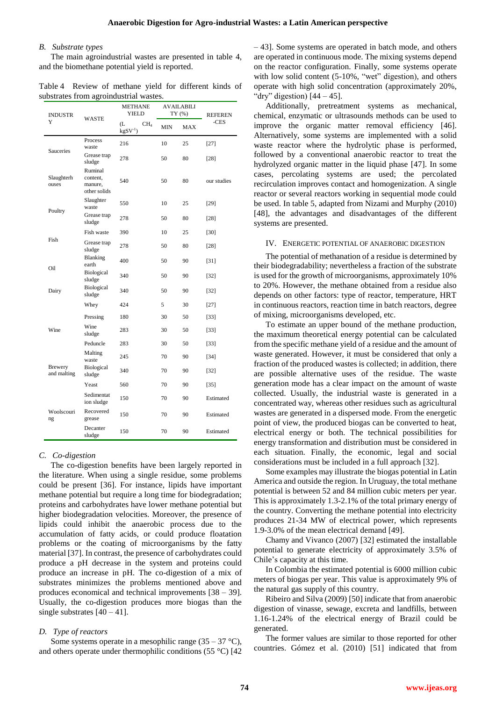#### *B. Substrate types*

The main agroindustrial wastes are presented in table 4, and the biomethane potential yield is reported.

Table 4 Review of methane yield for different kinds of substrates from agroindustrial wastes.

| <b>INDUSTR</b><br>Y           | <b>WASTE</b>                                   | <b>METHANE</b><br><b>YIELD</b>         |            | <b>AVAILABILI</b><br>TY (%) | <b>REFEREN</b> |
|-------------------------------|------------------------------------------------|----------------------------------------|------------|-----------------------------|----------------|
|                               |                                                | (L<br>CH <sub>4</sub><br>$kgSV^{-1}$ ) | <b>MIN</b> | MAX                         | -CES           |
| <b>Sauceries</b>              | Process<br>waste                               | 216                                    | 10         | 25                          | $[27]$         |
|                               | Grease trap<br>sludge                          | 278                                    | 50         | 80                          | $[28]$         |
| Slaughterh<br>ouses           | Ruminal<br>content,<br>manure,<br>other solids | 540                                    | 50         | 80                          | our studies    |
| Poultry                       | Slaughter<br>waste                             | 550                                    | 10         | 25                          | [29]           |
|                               | Grease trap<br>sludge                          | 278                                    | 50         | 80                          | [28]           |
| Fish                          | Fish waste                                     | 390                                    | 10         | 25                          | [30]           |
|                               | Grease trap<br>sludge                          | 278                                    | 50         | 80                          | [28]           |
| Oil                           | Blanking<br>earth                              | 400                                    | 50         | 90                          | $[31]$         |
|                               | Biological<br>sludge                           | 340                                    | 50         | 90                          | $[32]$         |
| Dairy                         | Biological<br>sludge                           | 340                                    | 50         | 90                          | $[32]$         |
|                               | Whey                                           | 424                                    | 5          | 30                          | $[27]$         |
|                               | Pressing                                       | 180                                    | 30         | 50                          | $[33]$         |
| Wine                          | Wine<br>sludge                                 | 283                                    | 30         | 50                          | $[33]$         |
|                               | Peduncle                                       | 283                                    | 30         | 50                          | [33]           |
| <b>Brewery</b><br>and malting | Malting<br>waste                               | 245                                    | 70         | 90                          | $[34]$         |
|                               | Biological<br>sludge                           | 340                                    | 70         | 90                          | $[32]$         |
|                               | Yeast                                          | 560                                    | 70         | 90                          | $[35]$         |
| Woolscouri<br>ng              | Sedimentat<br>ion sludge                       | 150                                    | 70         | 90                          | Estimated      |
|                               | Recovered<br>grease                            | 150                                    | 70         | 90                          | Estimated      |
|                               | Decanter<br>sludge                             | 150                                    | 70         | 90                          | Estimated      |

#### *C. Co-digestion*

The co-digestion benefits have been largely reported in the literature. When using a single residue, some problems could be present [36]. For instance, lipids have important methane potential but require a long time for biodegradation; proteins and carbohydrates have lower methane potential but higher biodegradation velocities. Moreover, the presence of lipids could inhibit the anaerobic process due to the accumulation of fatty acids, or could produce floatation problems or the coating of microorganisms by the fatty material [37]. In contrast, the presence of carbohydrates could produce a pH decrease in the system and proteins could produce an increase in pH. The co-digestion of a mix of substrates minimizes the problems mentioned above and produces economical and technical improvements [38 – 39]. Usually, the co-digestion produces more biogas than the single substrates  $[40 - 41]$ .

#### *D. Type of reactors*

Some systems operate in a mesophilic range  $(35 - 37 \degree C)$ , and others operate under thermophilic conditions (55 °C) [42 – 43]. Some systems are operated in batch mode, and others are operated in continuous mode. The mixing systems depend on the reactor configuration. Finally, some systems operate with low solid content (5-10%, "wet" digestion), and others operate with high solid concentration (approximately 20%, "dry" digestion)  $[44 - 45]$ .

Additionally, pretreatment systems as mechanical, chemical, enzymatic or ultrasounds methods can be used to improve the organic matter removal efficiency [46]. Alternatively, some systems are implemented with a solid waste reactor where the hydrolytic phase is performed, followed by a conventional anaerobic reactor to treat the hydrolyzed organic matter in the liquid phase [47]. In some cases, percolating systems are used; the percolated recirculation improves contact and homogenization. A single reactor or several reactors working in sequential mode could be used. In table 5, adapted from Nizami and Murphy (2010) [48], the advantages and disadvantages of the different systems are presented.

#### IV. ENERGETIC POTENTIAL OF ANAEROBIC DIGESTION

The potential of methanation of a residue is determined by their biodegradability; nevertheless a fraction of the substrate is used for the growth of microorganisms, approximately 10% to 20%. However, the methane obtained from a residue also depends on other factors: type of reactor, temperature, HRT in continuous reactors, reaction time in batch reactors, degree of mixing, microorganisms developed, etc.

To estimate an upper bound of the methane production, the maximum theoretical energy potential can be calculated from the specific methane yield of a residue and the amount of waste generated. However, it must be considered that only a fraction of the produced wastes is collected; in addition, there are possible alternative uses of the residue. The waste generation mode has a clear impact on the amount of waste collected. Usually, the industrial waste is generated in a concentrated way, whereas other residues such as agricultural wastes are generated in a dispersed mode. From the energetic point of view, the produced biogas can be converted to heat, electrical energy or both. The technical possibilities for energy transformation and distribution must be considered in each situation. Finally, the economic, legal and social considerations must be included in a full approach [32].

Some examples may illustrate the biogas potential in Latin America and outside the region. In Uruguay, the total methane potential is between 52 and 84 million cubic meters per year. This is approximately 1.3-2.1% of the total primary energy of the country. Converting the methane potential into electricity produces 21-34 MW of electrical power, which represents 1.9-3.0% of the mean electrical demand [49].

Chamy and Vivanco (2007) [32] estimated the installable potential to generate electricity of approximately 3.5% of Chile's capacity at this time.

In Colombia the estimated potential is 6000 million cubic meters of biogas per year. This value is approximately 9% of the natural gas supply of this country.

Ribeiro and Silva (2009) [50] indicate that from anaerobic digestion of vinasse, sewage, excreta and landfills, between 1.16-1.24% of the electrical energy of Brazil could be generated.

The former values are similar to those reported for other countries. Gómez et al. (2010) [51] indicated that from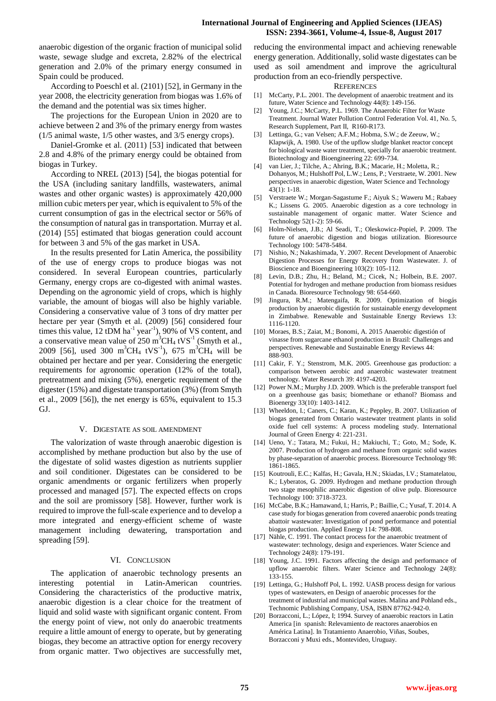anaerobic digestion of the organic fraction of municipal solid waste, sewage sludge and excreta, 2.82% of the electrical generation and 2.0% of the primary energy consumed in Spain could be produced.

According to Poeschl et al. (2101) [52], in Germany in the year 2008, the electricity generation from biogas was 1.6% of the demand and the potential was six times higher.

The projections for the European Union in 2020 are to achieve between 2 and 3% of the primary energy from wastes (1/5 animal waste, 1/5 other wastes, and 3/5 energy crops).

Daniel-Gromke et al. (2011) [53] indicated that between 2.8 and 4.8% of the primary energy could be obtained from biogas in Turkey.

According to NREL (2013) [54], the biogas potential for the USA (including sanitary landfills, wastewaters, animal wastes and other organic wastes) is approximately 420,000 million cubic meters per year, which is equivalent to 5% of the current consumption of gas in the electrical sector or 56% of the consumption of natural gas in transportation. Murray et al. (2014) [55] estimated that biogas generation could account for between 3 and 5% of the gas market in USA.

In the results presented for Latin America, the possibility of the use of energy crops to produce biogas was not considered. In several European countries, particularly Germany, energy crops are co-digested with animal wastes. Depending on the agronomic yield of crops, which is highly variable, the amount of biogas will also be highly variable. Considering a conservative value of 3 tons of dry matter per hectare per year (Smyth et al. (2009) [56] considered four times this value,  $12$  tDM ha<sup>-1</sup> year<sup>-1</sup>), 90% of VS content, and a conservative mean value of  $250 \text{ m}^3\text{CH}_4 \text{ tVS}^{-1}$  (Smyth et al., 2009 [56], used 300 m<sup>3</sup>CH<sub>4</sub> tVS<sup>-1</sup>), 675 m<sup>3</sup>CH<sub>4</sub> will be obtained per hectare and per year. Considering the energetic requirements for agronomic operation (12% of the total), pretreatment and mixing (5%), energetic requirement of the digester (15%) and digestate transportation (3%) (from Smyth et al., 2009 [56]), the net energy is 65%, equivalent to 15.3 GJ.

# V. DIGESTATE AS SOIL AMENDMENT

The valorization of waste through anaerobic digestion is accomplished by methane production but also by the use of the digestate of solid wastes digestion as nutrients supplier and soil conditioner. Digestates can be considered to be organic amendments or organic fertilizers when properly processed and managed [57]. The expected effects on crops and the soil are promissory [58]. However, further work is required to improve the full-scale experience and to develop a more integrated and energy-efficient scheme of waste management including dewatering, transportation and spreading [59].

# VI. CONCLUSION

The application of anaerobic technology presents an interesting potential in Latin-American countries. Considering the characteristics of the productive matrix, anaerobic digestion is a clear choice for the treatment of liquid and solid waste with significant organic content. From the energy point of view, not only do anaerobic treatments require a little amount of energy to operate, but by generating biogas, they become an attractive option for energy recovery from organic matter. Two objectives are successfully met, reducing the environmental impact and achieving renewable energy generation. Additionally, solid waste digestates can be used as soil amendment and improve the agricultural production from an eco-friendly perspective.

#### **REFERENCES**

- [1] McCarty, P.L. 2001. The development of anaerobic treatment and its future, Water Science and Technology 44(8): 149-156.
- [2] Young, J.C.; McCarty, P.L. 1969. The Anaerobic Filter for Waste Treatment. Journal Water Pollution Control Federation Vol. 41, No. 5, Research Supplement, Part II, R160-R173.
- [3] Lettinga, G.; van Velsen; A.F.M.; Hobma, S.W.; de Zeeuw, W.; Klapwijk, A. 1980. Use of the upflow sludge blanket reactor concept for biological waste water treatment, specially for anaerobic treatment. Biotechnology and Bioengineering 22: 699-734.
- [4] van Lier, J.; Tilche, A.; Ahring, B.K.; Macarie, H.; Moletta, R.; Dohanyos, M.; Hulshoff Pol, L.W.; Lens, P.; Verstraete, W. 2001. New perspectives in anaerobic digestion, Water Science and Technology  $43(1): 1-18$ .
- [5] Verstraete W.; Morgan-Sagastume F.; Aiyuk S.; Waweru M.; Rabaey K.; Lissens G. 2005. Anaerobic digestion as a core technology in sustainable management of organic matter. Water Science and Technology 52(1-2): 59-66.
- [6] Holm-Nielsen, J.B.; Al Seadi, T.; Oleskowicz-Popiel, P. 2009. The future of anaerobic digestion and biogas utilization. Bioresource Technology 100: 5478-5484.
- [7] Nishio, N.; Nakashimada, Y. 2007. Recent Development of Anaerobic Digestion Processes for Energy Recovery from Wastewater. J. of Bioscience and Bioengineering 103(2): 105-112.
- [8] Levin, D.B.; Zhu, H.; Beland, M.; Cicek, N.; Holbein, B.E. 2007. Potential for hydrogen and methane production from biomass residues in Canada. Bioresource Technology 98: 654-660.
- [9] Jingura, R.M.; Matengaifa, R. 2009. Optimization of biogás production by anaerobic digestión for sustainable energy development in Zimbabwe. Renewable and Sustainable Energy Reviews 13: 1116-1120.
- [10] Moraes, B.S.; Zaiat, M.; Bonomi, A. 2015 Anaerobic digestión of vinasse from sugarcane ethanol production in Brazil: Challenges and perspectives. Renewable and Sustainable Energy Reviews 44: 888-903.
- [11] Cakir, F. Y.; Stenstrom, M.K. 2005. Greenhouse gas production: a comparison between aerobic and anaerobic wastewater treatment technology. Water Research 39: 4197-4203.
- [12] Power N.M.; Murphy J.D. 2009. Which is the preferable transport fuel on a greenhouse gas basis; biomethane or ethanol? Biomass and Bioenergy 33(10): 1403-1412.
- [13] Wheeldon, I.; Caners, C.; Karan, K.; Peppley, B. 2007. Utilization of biogas generated from Ontario wastewater treatment plants in solid oxide fuel cell systems: A process modeling study. International Journal of Green Energy 4: 221-231.
- [14] Ueno, Y.; Tatara, M.; Fukui, H.; Makiuchi, T.; Goto, M.; Sode, K. 2007. Production of hydrogen and methane from organic solid wastes by phase-separation of anaerobic process. Bioresource Technology 98: 1861-1865.
- [15] Koutrouli, E.C.; Kalfas, H.; Gavala, H.N.; Skiadas, I.V.; Stamatelatou, K.; Lyberatos, G. 2009. Hydrogen and methane production through two stage mesophilic anaerobic digestion of olive pulp. Bioresource Technology 100: 3718-3723.
- [16] McCabe, B.K.; Hamawand, I.; Harris, P.; Baillie, C.; Yusaf, T. 2014. A case study for biogas generation from covered anaerobic ponds treating abattoir wastewater: Investigation of pond performance and potential biogas production. Applied Energy 114: 798-808.
- [17] Nähle, C. 1991. The contact process for the anaerobic treatment of wastewater: technology, design and experiences. Water Science and Technology 24(8): 179-191.
- [18] Young, J.C. 1991. Factors affecting the design and performance of upflow anaerobic filters. Water Science and Technology 24(8): 133-155.
- [19] Lettinga, G.; Hulshoff Pol, L. 1992. UASB process design for various types of wastewaters, en Design of anaerobic processes for the treatment of industrial and municipal wastes. Malina and Pohland eds., Technomic Publishing Company, USA, ISBN 87762-942-0.
- [20] Borzacconi, L.; López, I; 1994. Survey of anaerobic reactors in Latin America [in spanish: Relevamiento de reactores anaerobios en América Latina]. In Tratamiento Anaerobio, Viñas, Soubes, Borzacconi y Muxi eds., Montevideo, Uruguay.